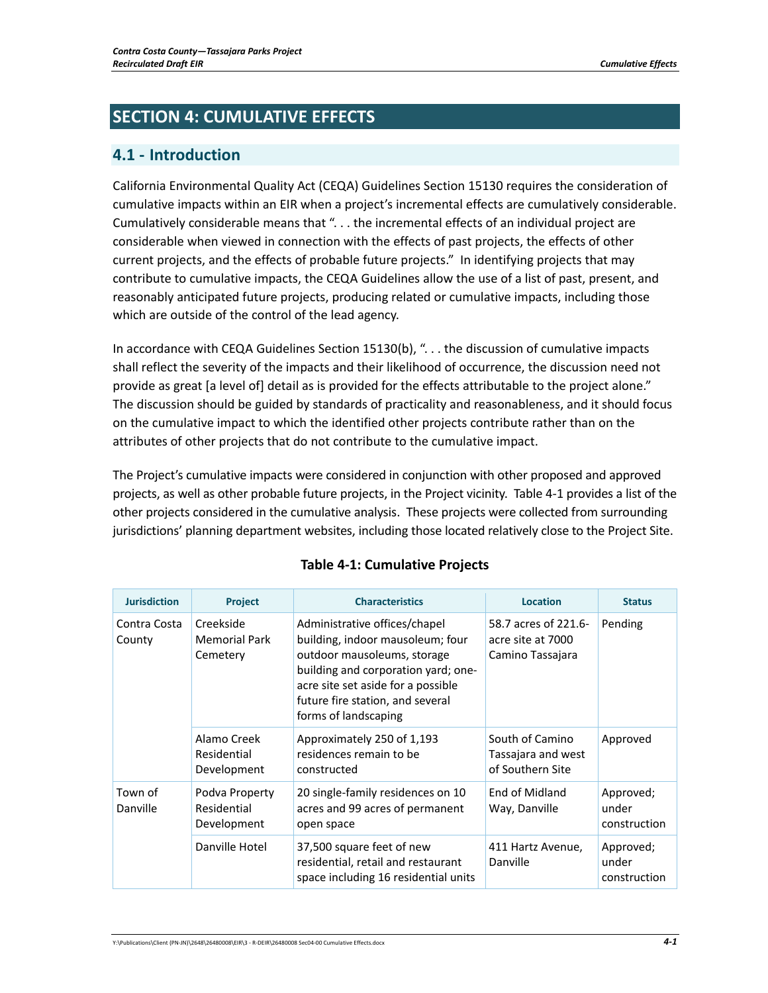# **SECTION 4: CUMULATIVE EFFECTS**

## **4.1 ‐ Introduction**

California Environmental Quality Act (CEQA) Guidelines Section 15130 requires the consideration of cumulative impacts within an EIR when a project's incremental effects are cumulatively considerable. Cumulatively considerable means that ". . . the incremental effects of an individual project are considerable when viewed in connection with the effects of past projects, the effects of other current projects, and the effects of probable future projects." In identifying projects that may contribute to cumulative impacts, the CEQA Guidelines allow the use of a list of past, present, and reasonably anticipated future projects, producing related or cumulative impacts, including those which are outside of the control of the lead agency.

In accordance with CEQA Guidelines Section 15130(b), "... the discussion of cumulative impacts shall reflect the severity of the impacts and their likelihood of occurrence, the discussion need not provide as great [a level of] detail as is provided for the effects attributable to the project alone." The discussion should be guided by standards of practicality and reasonableness, and it should focus on the cumulative impact to which the identified other projects contribute rather than on the attributes of other projects that do not contribute to the cumulative impact.

The Project's cumulative impacts were considered in conjunction with other proposed and approved projects, as well as other probable future projects, in the Project vicinity. Table 4‐1 provides a list of the other projects considered in the cumulative analysis. These projects were collected from surrounding jurisdictions' planning department websites, including those located relatively close to the Project Site.

| <b>Jurisdiction</b>    | Project                                       | <b>Characteristics</b>                                                                                                                                                                                                                    | <b>Location</b>                                               | <b>Status</b>                      |
|------------------------|-----------------------------------------------|-------------------------------------------------------------------------------------------------------------------------------------------------------------------------------------------------------------------------------------------|---------------------------------------------------------------|------------------------------------|
| Contra Costa<br>County | Creekside<br><b>Memorial Park</b><br>Cemetery | Administrative offices/chapel<br>building, indoor mausoleum; four<br>outdoor mausoleums, storage<br>building and corporation yard; one-<br>acre site set aside for a possible<br>future fire station, and several<br>forms of landscaping | 58.7 acres of 221.6-<br>acre site at 7000<br>Camino Tassajara | Pending                            |
|                        | Alamo Creek<br>Residential<br>Development     | Approximately 250 of 1,193<br>residences remain to be<br>constructed                                                                                                                                                                      | South of Camino<br>Tassajara and west<br>of Southern Site     | Approved                           |
| Town of<br>Danville    | Podva Property<br>Residential<br>Development  | 20 single-family residences on 10<br>acres and 99 acres of permanent<br>open space                                                                                                                                                        | End of Midland<br>Way, Danville                               | Approved;<br>under<br>construction |
|                        | Danville Hotel                                | 37,500 square feet of new<br>residential, retail and restaurant<br>space including 16 residential units                                                                                                                                   | 411 Hartz Avenue,<br>Danville                                 | Approved;<br>under<br>construction |

### **Table 4‐1: Cumulative Projects**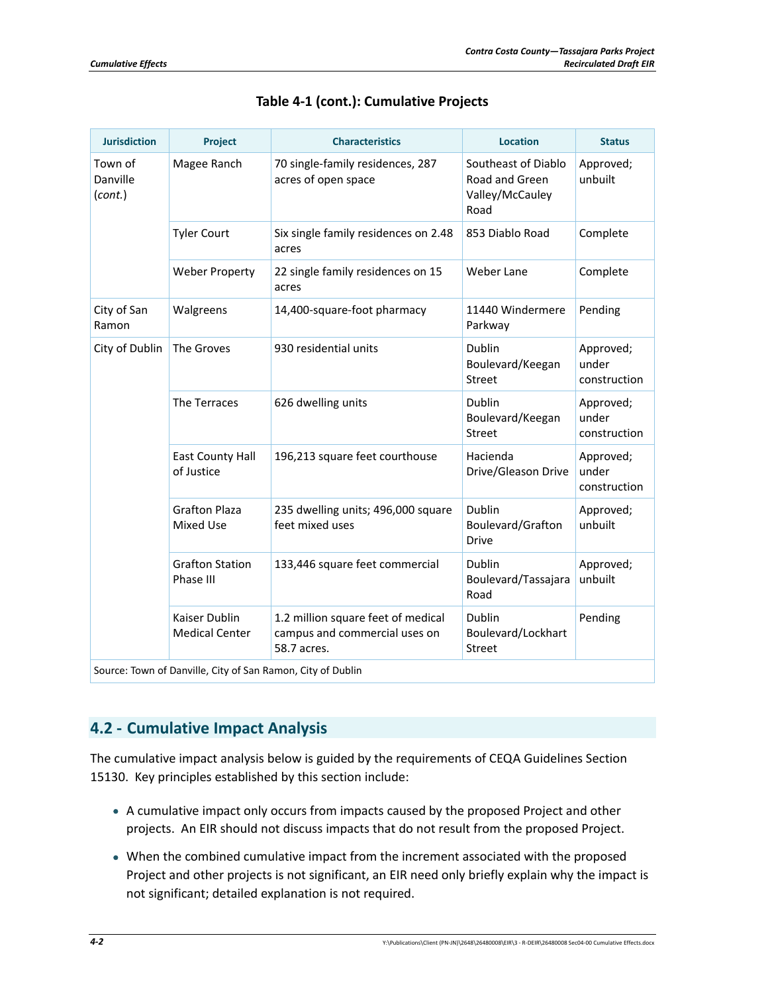| <b>Jurisdiction</b>                                         | Project                                  | <b>Characteristics</b>                                                             | <b>Location</b>                                                  | <b>Status</b>                      |  |  |
|-------------------------------------------------------------|------------------------------------------|------------------------------------------------------------------------------------|------------------------------------------------------------------|------------------------------------|--|--|
| Town of<br>Danville<br>(cont.)                              | Magee Ranch                              | 70 single-family residences, 287<br>acres of open space                            | Southeast of Diablo<br>Road and Green<br>Valley/McCauley<br>Road | Approved;<br>unbuilt               |  |  |
|                                                             | <b>Tyler Court</b>                       | Six single family residences on 2.48<br>acres                                      | 853 Diablo Road                                                  | Complete                           |  |  |
|                                                             | <b>Weber Property</b>                    | 22 single family residences on 15<br>acres                                         | Weber Lane                                                       | Complete                           |  |  |
| City of San<br>Ramon                                        | Walgreens                                | 14,400-square-foot pharmacy                                                        | 11440 Windermere<br>Parkway                                      | Pending                            |  |  |
| City of Dublin                                              | The Groves                               | 930 residential units                                                              | Dublin<br>Boulevard/Keegan<br>Street                             | Approved;<br>under<br>construction |  |  |
|                                                             | The Terraces                             | 626 dwelling units                                                                 | Dublin<br>Boulevard/Keegan<br>Street                             | Approved;<br>under<br>construction |  |  |
|                                                             | <b>East County Hall</b><br>of Justice    | 196,213 square feet courthouse                                                     | Hacienda<br>Drive/Gleason Drive                                  | Approved;<br>under<br>construction |  |  |
|                                                             | <b>Grafton Plaza</b><br><b>Mixed Use</b> | 235 dwelling units; 496,000 square<br>feet mixed uses                              | Dublin<br>Boulevard/Grafton<br><b>Drive</b>                      | Approved;<br>unbuilt               |  |  |
|                                                             | <b>Grafton Station</b><br>Phase III      | 133,446 square feet commercial                                                     | Dublin<br>Boulevard/Tassajara<br>Road                            | Approved;<br>unbuilt               |  |  |
|                                                             | Kaiser Dublin<br><b>Medical Center</b>   | 1.2 million square feet of medical<br>campus and commercial uses on<br>58.7 acres. | Dublin<br>Boulevard/Lockhart<br><b>Street</b>                    | Pending                            |  |  |
| Source: Town of Danville, City of San Ramon, City of Dublin |                                          |                                                                                    |                                                                  |                                    |  |  |

### **Table 4‐1 (cont.): Cumulative Projects**

## **4.2 ‐ Cumulative Impact Analysis**

The cumulative impact analysis below is guided by the requirements of CEQA Guidelines Section 15130. Key principles established by this section include:

- A cumulative impact only occurs from impacts caused by the proposed Project and other projects. An EIR should not discuss impacts that do not result from the proposed Project.
- When the combined cumulative impact from the increment associated with the proposed Project and other projects is not significant, an EIR need only briefly explain why the impact is not significant; detailed explanation is not required.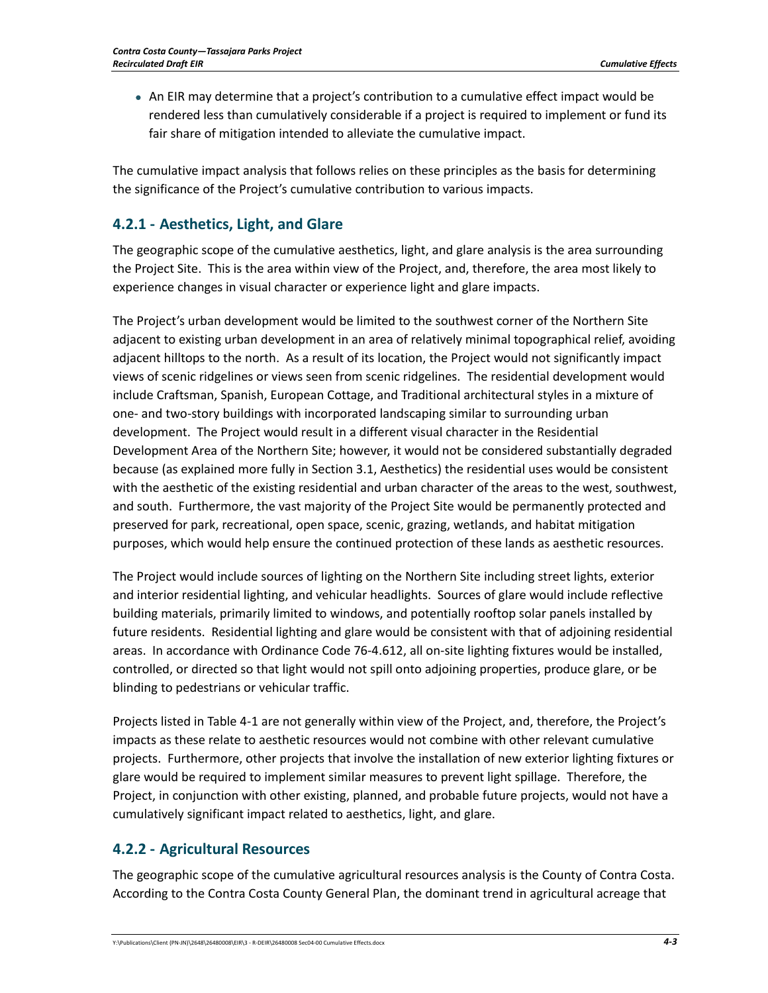An EIR may determine that a project's contribution to a cumulative effect impact would be rendered less than cumulatively considerable if a project is required to implement or fund its fair share of mitigation intended to alleviate the cumulative impact.

The cumulative impact analysis that follows relies on these principles as the basis for determining the significance of the Project's cumulative contribution to various impacts.

## **4.2.1 ‐ Aesthetics, Light, and Glare**

The geographic scope of the cumulative aesthetics, light, and glare analysis is the area surrounding the Project Site. This is the area within view of the Project, and, therefore, the area most likely to experience changes in visual character or experience light and glare impacts.

The Project's urban development would be limited to the southwest corner of the Northern Site adjacent to existing urban development in an area of relatively minimal topographical relief, avoiding adjacent hilltops to the north. As a result of its location, the Project would not significantly impact views of scenic ridgelines or views seen from scenic ridgelines. The residential development would include Craftsman, Spanish, European Cottage, and Traditional architectural styles in a mixture of one‐ and two‐story buildings with incorporated landscaping similar to surrounding urban development. The Project would result in a different visual character in the Residential Development Area of the Northern Site; however, it would not be considered substantially degraded because (as explained more fully in Section 3.1, Aesthetics) the residential uses would be consistent with the aesthetic of the existing residential and urban character of the areas to the west, southwest, and south. Furthermore, the vast majority of the Project Site would be permanently protected and preserved for park, recreational, open space, scenic, grazing, wetlands, and habitat mitigation purposes, which would help ensure the continued protection of these lands as aesthetic resources.

The Project would include sources of lighting on the Northern Site including street lights, exterior and interior residential lighting, and vehicular headlights. Sources of glare would include reflective building materials, primarily limited to windows, and potentially rooftop solar panels installed by future residents. Residential lighting and glare would be consistent with that of adjoining residential areas. In accordance with Ordinance Code 76‐4.612, all on‐site lighting fixtures would be installed, controlled, or directed so that light would not spill onto adjoining properties, produce glare, or be blinding to pedestrians or vehicular traffic.

Projects listed in Table 4‐1 are not generally within view of the Project, and, therefore, the Project's impacts as these relate to aesthetic resources would not combine with other relevant cumulative projects. Furthermore, other projects that involve the installation of new exterior lighting fixtures or glare would be required to implement similar measures to prevent light spillage. Therefore, the Project, in conjunction with other existing, planned, and probable future projects, would not have a cumulatively significant impact related to aesthetics, light, and glare.

## **4.2.2 ‐ Agricultural Resources**

The geographic scope of the cumulative agricultural resources analysis is the County of Contra Costa. According to the Contra Costa County General Plan, the dominant trend in agricultural acreage that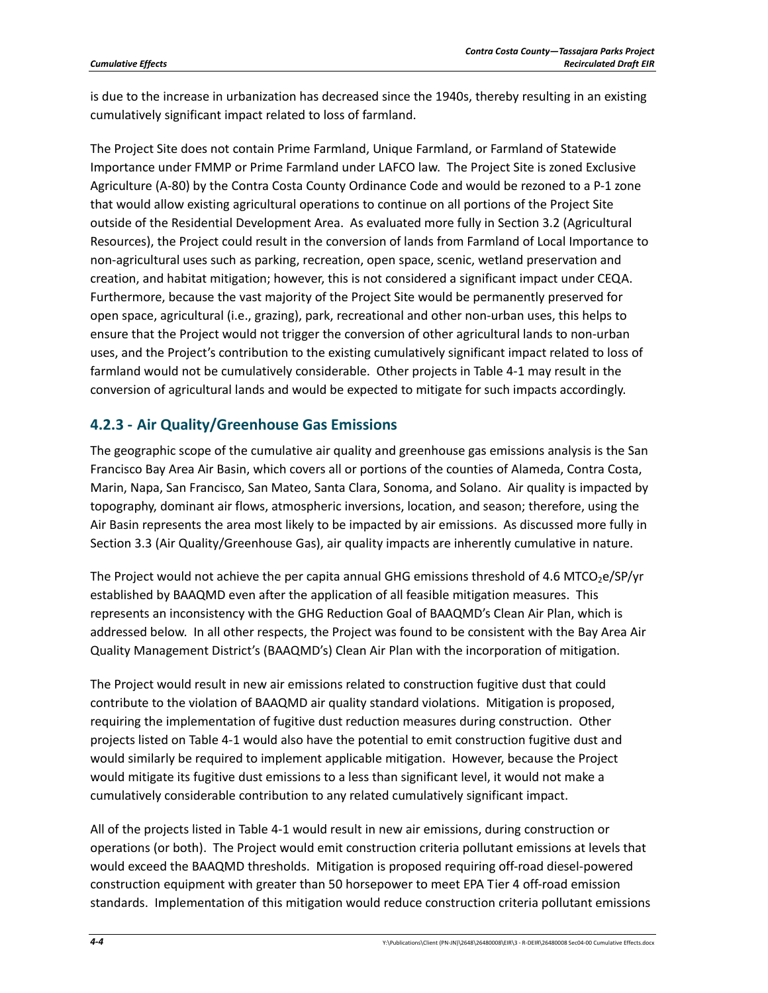is due to the increase in urbanization has decreased since the 1940s, thereby resulting in an existing cumulatively significant impact related to loss of farmland.

The Project Site does not contain Prime Farmland, Unique Farmland, or Farmland of Statewide Importance under FMMP or Prime Farmland under LAFCO law. The Project Site is zoned Exclusive Agriculture (A‐80) by the Contra Costa County Ordinance Code and would be rezoned to a P‐1 zone that would allow existing agricultural operations to continue on all portions of the Project Site outside of the Residential Development Area. As evaluated more fully in Section 3.2 (Agricultural Resources), the Project could result in the conversion of lands from Farmland of Local Importance to non‐agricultural uses such as parking, recreation, open space, scenic, wetland preservation and creation, and habitat mitigation; however, this is not considered a significant impact under CEQA. Furthermore, because the vast majority of the Project Site would be permanently preserved for open space, agricultural (i.e., grazing), park, recreational and other non‐urban uses, this helps to ensure that the Project would not trigger the conversion of other agricultural lands to non-urban uses, and the Project's contribution to the existing cumulatively significant impact related to loss of farmland would not be cumulatively considerable. Other projects in Table 4‐1 may result in the conversion of agricultural lands and would be expected to mitigate for such impacts accordingly.

## **4.2.3 ‐ Air Quality/Greenhouse Gas Emissions**

The geographic scope of the cumulative air quality and greenhouse gas emissions analysis is the San Francisco Bay Area Air Basin, which covers all or portions of the counties of Alameda, Contra Costa, Marin, Napa, San Francisco, San Mateo, Santa Clara, Sonoma, and Solano. Air quality is impacted by topography, dominant air flows, atmospheric inversions, location, and season; therefore, using the Air Basin represents the area most likely to be impacted by air emissions. As discussed more fully in Section 3.3 (Air Quality/Greenhouse Gas), air quality impacts are inherently cumulative in nature.

The Project would not achieve the per capita annual GHG emissions threshold of 4.6 MTCO<sub>2</sub>e/SP/yr established by BAAQMD even after the application of all feasible mitigation measures. This represents an inconsistency with the GHG Reduction Goal of BAAQMD's Clean Air Plan, which is addressed below. In all other respects, the Project was found to be consistent with the Bay Area Air Quality Management District's (BAAQMD's) Clean Air Plan with the incorporation of mitigation.

The Project would result in new air emissions related to construction fugitive dust that could contribute to the violation of BAAQMD air quality standard violations. Mitigation is proposed, requiring the implementation of fugitive dust reduction measures during construction. Other projects listed on Table 4‐1 would also have the potential to emit construction fugitive dust and would similarly be required to implement applicable mitigation. However, because the Project would mitigate its fugitive dust emissions to a less than significant level, it would not make a cumulatively considerable contribution to any related cumulatively significant impact.

All of the projects listed in Table 4‐1 would result in new air emissions, during construction or operations (or both). The Project would emit construction criteria pollutant emissions at levels that would exceed the BAAQMD thresholds. Mitigation is proposed requiring off-road diesel-powered construction equipment with greater than 50 horsepower to meet EPA Tier 4 off‐road emission standards. Implementation of this mitigation would reduce construction criteria pollutant emissions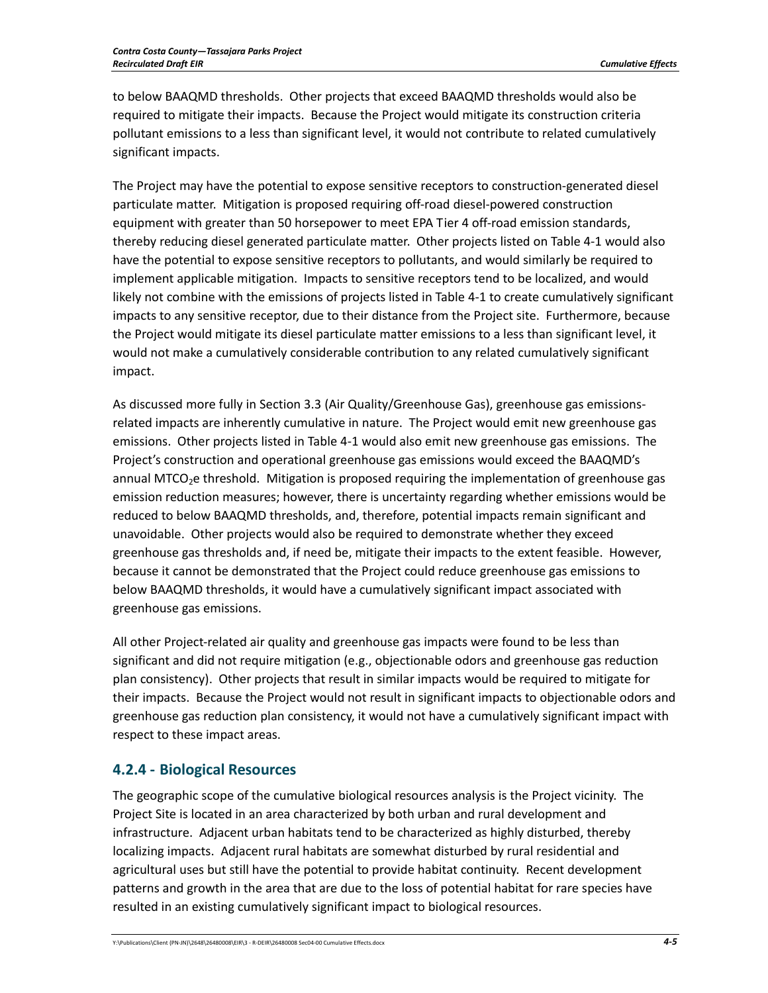to below BAAQMD thresholds. Other projects that exceed BAAQMD thresholds would also be required to mitigate their impacts. Because the Project would mitigate its construction criteria pollutant emissions to a less than significant level, it would not contribute to related cumulatively significant impacts.

The Project may have the potential to expose sensitive receptors to construction‐generated diesel particulate matter. Mitigation is proposed requiring off‐road diesel‐powered construction equipment with greater than 50 horsepower to meet EPA Tier 4 off-road emission standards, thereby reducing diesel generated particulate matter. Other projects listed on Table 4‐1 would also have the potential to expose sensitive receptors to pollutants, and would similarly be required to implement applicable mitigation. Impacts to sensitive receptors tend to be localized, and would likely not combine with the emissions of projects listed in Table 4‐1 to create cumulatively significant impacts to any sensitive receptor, due to their distance from the Project site. Furthermore, because the Project would mitigate its diesel particulate matter emissions to a less than significant level, it would not make a cumulatively considerable contribution to any related cumulatively significant impact.

As discussed more fully in Section 3.3 (Air Quality/Greenhouse Gas), greenhouse gas emissions‐ related impacts are inherently cumulative in nature. The Project would emit new greenhouse gas emissions. Other projects listed in Table 4‐1 would also emit new greenhouse gas emissions. The Project's construction and operational greenhouse gas emissions would exceed the BAAQMD's annual MTCO<sub>2</sub>e threshold. Mitigation is proposed requiring the implementation of greenhouse gas emission reduction measures; however, there is uncertainty regarding whether emissions would be reduced to below BAAQMD thresholds, and, therefore, potential impacts remain significant and unavoidable. Other projects would also be required to demonstrate whether they exceed greenhouse gas thresholds and, if need be, mitigate their impacts to the extent feasible. However, because it cannot be demonstrated that the Project could reduce greenhouse gas emissions to below BAAQMD thresholds, it would have a cumulatively significant impact associated with greenhouse gas emissions.

All other Project-related air quality and greenhouse gas impacts were found to be less than significant and did not require mitigation (e.g., objectionable odors and greenhouse gas reduction plan consistency). Other projects that result in similar impacts would be required to mitigate for their impacts. Because the Project would not result in significant impacts to objectionable odors and greenhouse gas reduction plan consistency, it would not have a cumulatively significant impact with respect to these impact areas.

## **4.2.4 ‐ Biological Resources**

The geographic scope of the cumulative biological resources analysis is the Project vicinity. The Project Site is located in an area characterized by both urban and rural development and infrastructure. Adjacent urban habitats tend to be characterized as highly disturbed, thereby localizing impacts. Adjacent rural habitats are somewhat disturbed by rural residential and agricultural uses but still have the potential to provide habitat continuity. Recent development patterns and growth in the area that are due to the loss of potential habitat for rare species have resulted in an existing cumulatively significant impact to biological resources.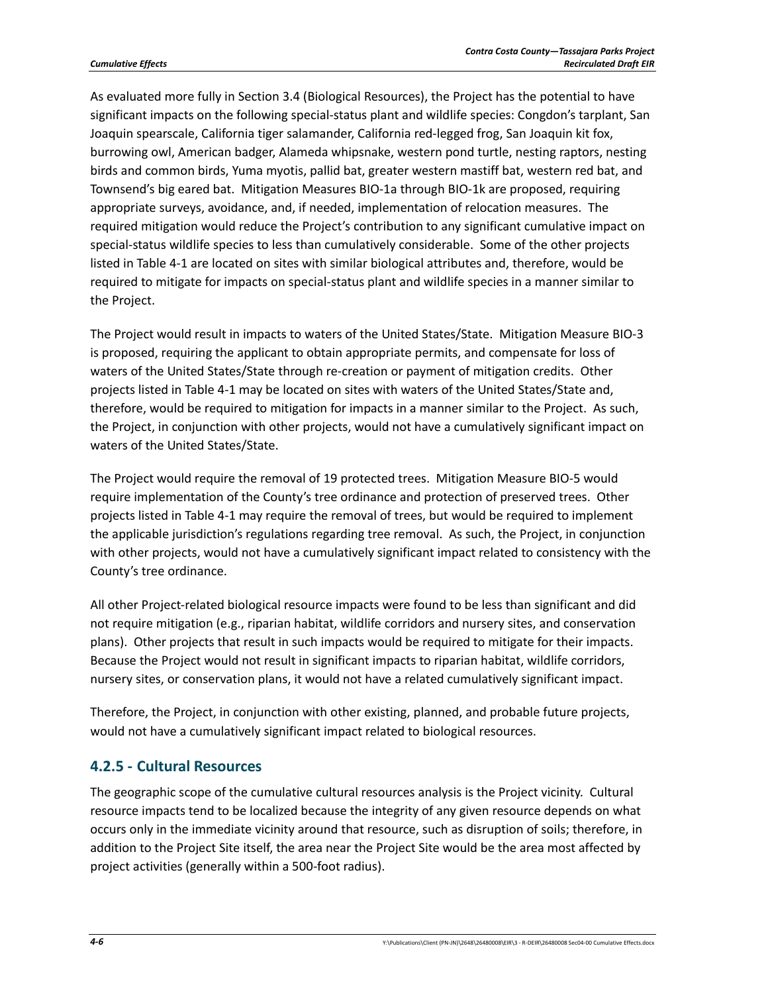As evaluated more fully in Section 3.4 (Biological Resources), the Project has the potential to have significant impacts on the following special-status plant and wildlife species: Congdon's tarplant, San Joaquin spearscale, California tiger salamander, California red‐legged frog, San Joaquin kit fox, burrowing owl, American badger, Alameda whipsnake, western pond turtle, nesting raptors, nesting birds and common birds, Yuma myotis, pallid bat, greater western mastiff bat, western red bat, and Townsend's big eared bat. Mitigation Measures BIO‐1a through BIO‐1k are proposed, requiring appropriate surveys, avoidance, and, if needed, implementation of relocation measures. The required mitigation would reduce the Project's contribution to any significant cumulative impact on special-status wildlife species to less than cumulatively considerable. Some of the other projects listed in Table 4‐1 are located on sites with similar biological attributes and, therefore, would be required to mitigate for impacts on special‐status plant and wildlife species in a manner similar to the Project.

The Project would result in impacts to waters of the United States/State. Mitigation Measure BIO‐3 is proposed, requiring the applicant to obtain appropriate permits, and compensate for loss of waters of the United States/State through re-creation or payment of mitigation credits. Other projects listed in Table 4‐1 may be located on sites with waters of the United States/State and, therefore, would be required to mitigation for impacts in a manner similar to the Project. As such, the Project, in conjunction with other projects, would not have a cumulatively significant impact on waters of the United States/State.

The Project would require the removal of 19 protected trees. Mitigation Measure BIO‐5 would require implementation of the County's tree ordinance and protection of preserved trees. Other projects listed in Table 4‐1 may require the removal of trees, but would be required to implement the applicable jurisdiction's regulations regarding tree removal. As such, the Project, in conjunction with other projects, would not have a cumulatively significant impact related to consistency with the County's tree ordinance.

All other Project‐related biological resource impacts were found to be less than significant and did not require mitigation (e.g., riparian habitat, wildlife corridors and nursery sites, and conservation plans). Other projects that result in such impacts would be required to mitigate for their impacts. Because the Project would not result in significant impacts to riparian habitat, wildlife corridors, nursery sites, or conservation plans, it would not have a related cumulatively significant impact.

Therefore, the Project, in conjunction with other existing, planned, and probable future projects, would not have a cumulatively significant impact related to biological resources.

### **4.2.5 ‐ Cultural Resources**

The geographic scope of the cumulative cultural resources analysis is the Project vicinity. Cultural resource impacts tend to be localized because the integrity of any given resource depends on what occurs only in the immediate vicinity around that resource, such as disruption of soils; therefore, in addition to the Project Site itself, the area near the Project Site would be the area most affected by project activities (generally within a 500‐foot radius).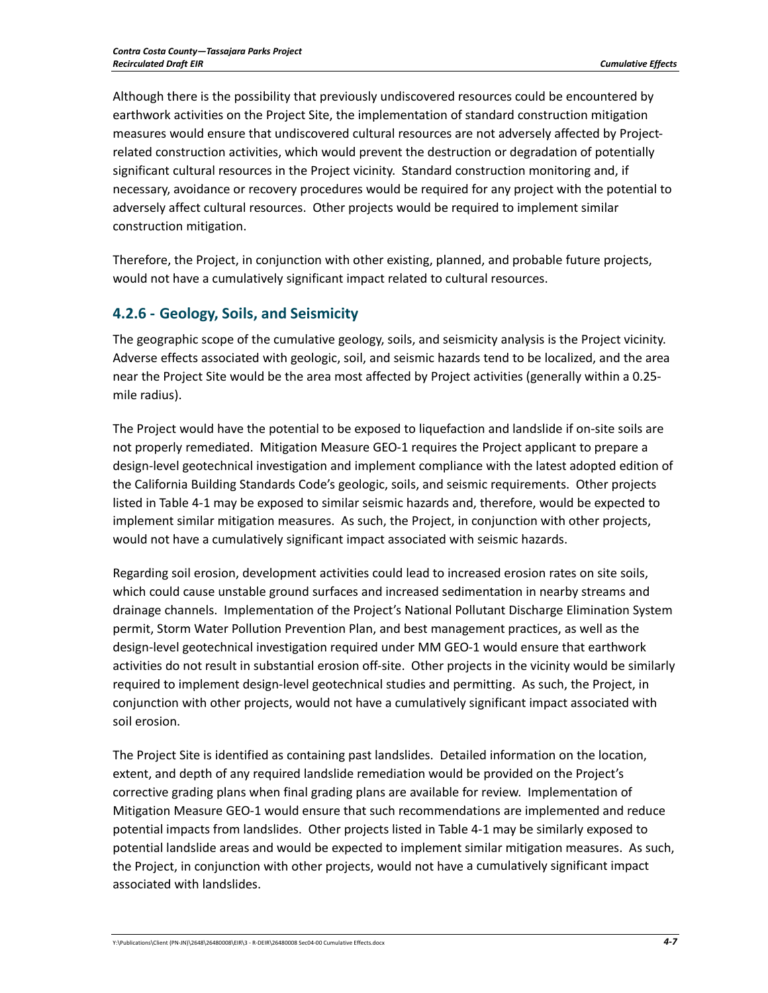Although there is the possibility that previously undiscovered resources could be encountered by earthwork activities on the Project Site, the implementation of standard construction mitigation measures would ensure that undiscovered cultural resources are not adversely affected by Project‐ related construction activities, which would prevent the destruction or degradation of potentially significant cultural resources in the Project vicinity. Standard construction monitoring and, if necessary, avoidance or recovery procedures would be required for any project with the potential to adversely affect cultural resources. Other projects would be required to implement similar construction mitigation.

Therefore, the Project, in conjunction with other existing, planned, and probable future projects, would not have a cumulatively significant impact related to cultural resources.

## **4.2.6 ‐ Geology, Soils, and Seismicity**

The geographic scope of the cumulative geology, soils, and seismicity analysis is the Project vicinity. Adverse effects associated with geologic, soil, and seismic hazards tend to be localized, and the area near the Project Site would be the area most affected by Project activities (generally within a 0.25‐ mile radius).

The Project would have the potential to be exposed to liquefaction and landslide if on‐site soils are not properly remediated. Mitigation Measure GEO‐1 requires the Project applicant to prepare a design‐level geotechnical investigation and implement compliance with the latest adopted edition of the California Building Standards Code's geologic, soils, and seismic requirements. Other projects listed in Table 4‐1 may be exposed to similar seismic hazards and, therefore, would be expected to implement similar mitigation measures. As such, the Project, in conjunction with other projects, would not have a cumulatively significant impact associated with seismic hazards.

Regarding soil erosion, development activities could lead to increased erosion rates on site soils, which could cause unstable ground surfaces and increased sedimentation in nearby streams and drainage channels. Implementation of the Project's National Pollutant Discharge Elimination System permit, Storm Water Pollution Prevention Plan, and best management practices, as well as the design‐level geotechnical investigation required under MM GEO‐1 would ensure that earthwork activities do not result in substantial erosion off‐site. Other projects in the vicinity would be similarly required to implement design‐level geotechnical studies and permitting. As such, the Project, in conjunction with other projects, would not have a cumulatively significant impact associated with soil erosion.

The Project Site is identified as containing past landslides. Detailed information on the location, extent, and depth of any required landslide remediation would be provided on the Project's corrective grading plans when final grading plans are available for review. Implementation of Mitigation Measure GEO‐1 would ensure that such recommendations are implemented and reduce potential impacts from landslides. Other projects listed in Table 4‐1 may be similarly exposed to potential landslide areas and would be expected to implement similar mitigation measures. As such, the Project, in conjunction with other projects, would not have a cumulatively significant impact associated with landslides.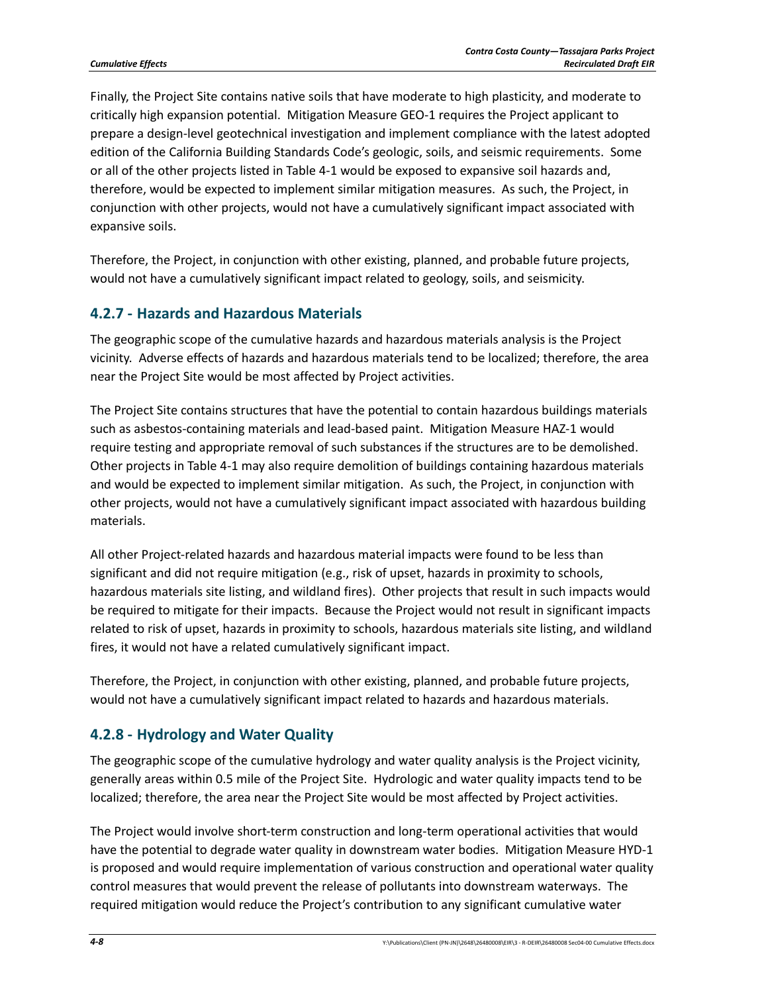Finally, the Project Site contains native soils that have moderate to high plasticity, and moderate to critically high expansion potential. Mitigation Measure GEO‐1 requires the Project applicant to prepare a design‐level geotechnical investigation and implement compliance with the latest adopted edition of the California Building Standards Code's geologic, soils, and seismic requirements. Some or all of the other projects listed in Table 4‐1 would be exposed to expansive soil hazards and, therefore, would be expected to implement similar mitigation measures. As such, the Project, in conjunction with other projects, would not have a cumulatively significant impact associated with expansive soils.

Therefore, the Project, in conjunction with other existing, planned, and probable future projects, would not have a cumulatively significant impact related to geology, soils, and seismicity.

## **4.2.7 ‐ Hazards and Hazardous Materials**

The geographic scope of the cumulative hazards and hazardous materials analysis is the Project vicinity. Adverse effects of hazards and hazardous materials tend to be localized; therefore, the area near the Project Site would be most affected by Project activities.

The Project Site contains structures that have the potential to contain hazardous buildings materials such as asbestos-containing materials and lead-based paint. Mitigation Measure HAZ-1 would require testing and appropriate removal of such substances if the structures are to be demolished. Other projects in Table 4‐1 may also require demolition of buildings containing hazardous materials and would be expected to implement similar mitigation. As such, the Project, in conjunction with other projects, would not have a cumulatively significant impact associated with hazardous building materials.

All other Project‐related hazards and hazardous material impacts were found to be less than significant and did not require mitigation (e.g., risk of upset, hazards in proximity to schools, hazardous materials site listing, and wildland fires). Other projects that result in such impacts would be required to mitigate for their impacts. Because the Project would not result in significant impacts related to risk of upset, hazards in proximity to schools, hazardous materials site listing, and wildland fires, it would not have a related cumulatively significant impact.

Therefore, the Project, in conjunction with other existing, planned, and probable future projects, would not have a cumulatively significant impact related to hazards and hazardous materials.

## **4.2.8 ‐ Hydrology and Water Quality**

The geographic scope of the cumulative hydrology and water quality analysis is the Project vicinity, generally areas within 0.5 mile of the Project Site. Hydrologic and water quality impacts tend to be localized; therefore, the area near the Project Site would be most affected by Project activities.

The Project would involve short‐term construction and long‐term operational activities that would have the potential to degrade water quality in downstream water bodies. Mitigation Measure HYD‐1 is proposed and would require implementation of various construction and operational water quality control measures that would prevent the release of pollutants into downstream waterways. The required mitigation would reduce the Project's contribution to any significant cumulative water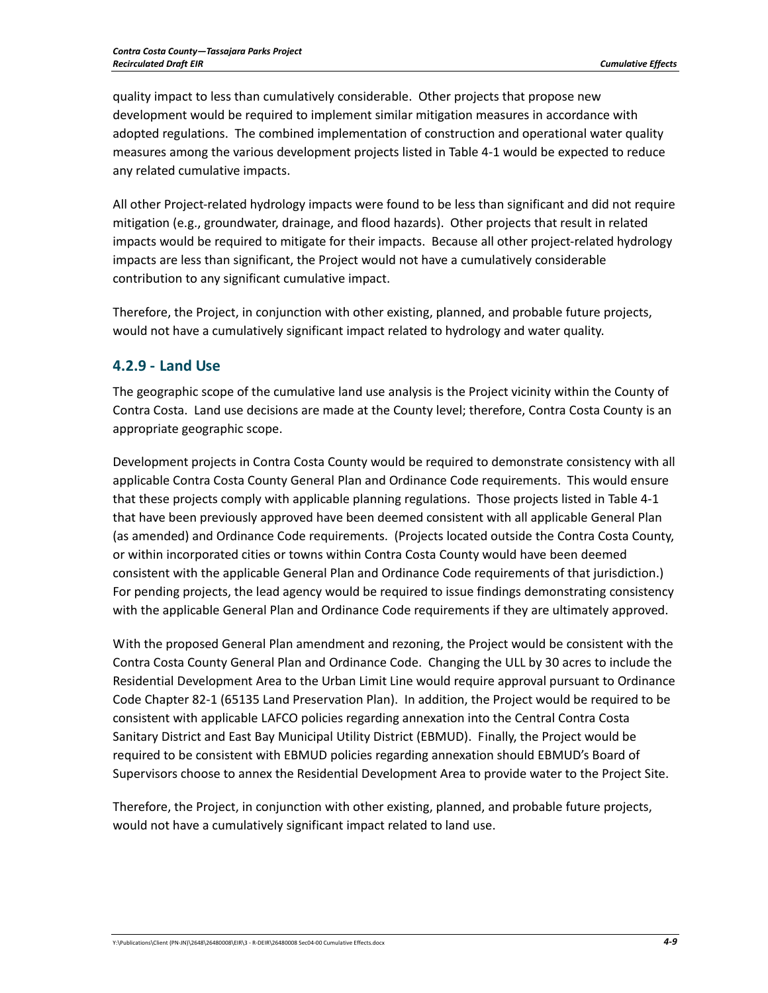quality impact to less than cumulatively considerable. Other projects that propose new development would be required to implement similar mitigation measures in accordance with adopted regulations. The combined implementation of construction and operational water quality measures among the various development projects listed in Table 4‐1 would be expected to reduce any related cumulative impacts.

All other Project‐related hydrology impacts were found to be less than significant and did not require mitigation (e.g., groundwater, drainage, and flood hazards). Other projects that result in related impacts would be required to mitigate for their impacts. Because all other project-related hydrology impacts are less than significant, the Project would not have a cumulatively considerable contribution to any significant cumulative impact.

Therefore, the Project, in conjunction with other existing, planned, and probable future projects, would not have a cumulatively significant impact related to hydrology and water quality.

## **4.2.9 ‐ Land Use**

The geographic scope of the cumulative land use analysis is the Project vicinity within the County of Contra Costa. Land use decisions are made at the County level; therefore, Contra Costa County is an appropriate geographic scope.

Development projects in Contra Costa County would be required to demonstrate consistency with all applicable Contra Costa County General Plan and Ordinance Code requirements. This would ensure that these projects comply with applicable planning regulations. Those projects listed in Table 4‐1 that have been previously approved have been deemed consistent with all applicable General Plan (as amended) and Ordinance Code requirements. (Projects located outside the Contra Costa County, or within incorporated cities or towns within Contra Costa County would have been deemed consistent with the applicable General Plan and Ordinance Code requirements of that jurisdiction.) For pending projects, the lead agency would be required to issue findings demonstrating consistency with the applicable General Plan and Ordinance Code requirements if they are ultimately approved.

With the proposed General Plan amendment and rezoning, the Project would be consistent with the Contra Costa County General Plan and Ordinance Code. Changing the ULL by 30 acres to include the Residential Development Area to the Urban Limit Line would require approval pursuant to Ordinance Code Chapter 82‐1 (65135 Land Preservation Plan). In addition, the Project would be required to be consistent with applicable LAFCO policies regarding annexation into the Central Contra Costa Sanitary District and East Bay Municipal Utility District (EBMUD). Finally, the Project would be required to be consistent with EBMUD policies regarding annexation should EBMUD's Board of Supervisors choose to annex the Residential Development Area to provide water to the Project Site.

Therefore, the Project, in conjunction with other existing, planned, and probable future projects, would not have a cumulatively significant impact related to land use.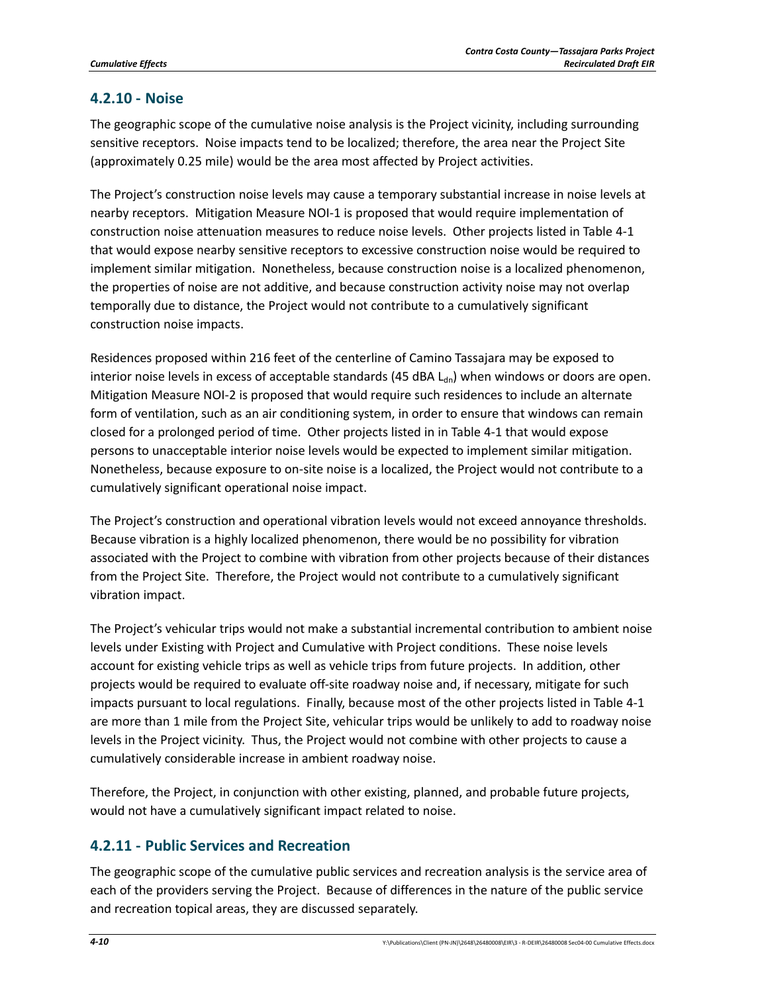## **4.2.10 ‐ Noise**

The geographic scope of the cumulative noise analysis is the Project vicinity, including surrounding sensitive receptors. Noise impacts tend to be localized; therefore, the area near the Project Site (approximately 0.25 mile) would be the area most affected by Project activities.

The Project's construction noise levels may cause a temporary substantial increase in noise levels at nearby receptors. Mitigation Measure NOI‐1 is proposed that would require implementation of construction noise attenuation measures to reduce noise levels. Other projects listed in Table 4‐1 that would expose nearby sensitive receptors to excessive construction noise would be required to implement similar mitigation. Nonetheless, because construction noise is a localized phenomenon, the properties of noise are not additive, and because construction activity noise may not overlap temporally due to distance, the Project would not contribute to a cumulatively significant construction noise impacts.

Residences proposed within 216 feet of the centerline of Camino Tassajara may be exposed to interior noise levels in excess of acceptable standards (45 dBA  $L_{dn}$ ) when windows or doors are open. Mitigation Measure NOI‐2 is proposed that would require such residences to include an alternate form of ventilation, such as an air conditioning system, in order to ensure that windows can remain closed for a prolonged period of time. Other projects listed in in Table 4‐1 that would expose persons to unacceptable interior noise levels would be expected to implement similar mitigation. Nonetheless, because exposure to on‐site noise is a localized, the Project would not contribute to a cumulatively significant operational noise impact.

The Project's construction and operational vibration levels would not exceed annoyance thresholds. Because vibration is a highly localized phenomenon, there would be no possibility for vibration associated with the Project to combine with vibration from other projects because of their distances from the Project Site. Therefore, the Project would not contribute to a cumulatively significant vibration impact.

The Project's vehicular trips would not make a substantial incremental contribution to ambient noise levels under Existing with Project and Cumulative with Project conditions. These noise levels account for existing vehicle trips as well as vehicle trips from future projects. In addition, other projects would be required to evaluate off‐site roadway noise and, if necessary, mitigate for such impacts pursuant to local regulations. Finally, because most of the other projects listed in Table 4‐1 are more than 1 mile from the Project Site, vehicular trips would be unlikely to add to roadway noise levels in the Project vicinity. Thus, the Project would not combine with other projects to cause a cumulatively considerable increase in ambient roadway noise.

Therefore, the Project, in conjunction with other existing, planned, and probable future projects, would not have a cumulatively significant impact related to noise.

## **4.2.11 ‐ Public Services and Recreation**

The geographic scope of the cumulative public services and recreation analysis is the service area of each of the providers serving the Project. Because of differences in the nature of the public service and recreation topical areas, they are discussed separately.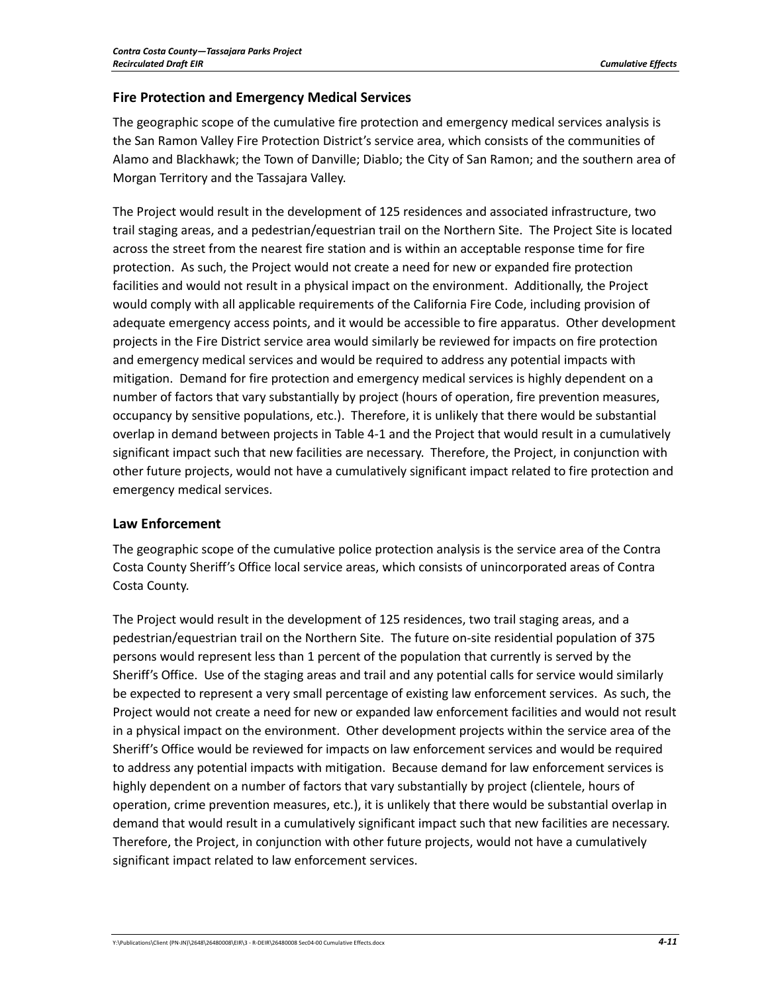### **Fire Protection and Emergency Medical Services**

The geographic scope of the cumulative fire protection and emergency medical services analysis is the San Ramon Valley Fire Protection District's service area, which consists of the communities of Alamo and Blackhawk; the Town of Danville; Diablo; the City of San Ramon; and the southern area of Morgan Territory and the Tassajara Valley.

The Project would result in the development of 125 residences and associated infrastructure, two trail staging areas, and a pedestrian/equestrian trail on the Northern Site. The Project Site is located across the street from the nearest fire station and is within an acceptable response time for fire protection. As such, the Project would not create a need for new or expanded fire protection facilities and would not result in a physical impact on the environment. Additionally, the Project would comply with all applicable requirements of the California Fire Code, including provision of adequate emergency access points, and it would be accessible to fire apparatus. Other development projects in the Fire District service area would similarly be reviewed for impacts on fire protection and emergency medical services and would be required to address any potential impacts with mitigation. Demand for fire protection and emergency medical services is highly dependent on a number of factors that vary substantially by project (hours of operation, fire prevention measures, occupancy by sensitive populations, etc.). Therefore, it is unlikely that there would be substantial overlap in demand between projects in Table 4‐1 and the Project that would result in a cumulatively significant impact such that new facilities are necessary. Therefore, the Project, in conjunction with other future projects, would not have a cumulatively significant impact related to fire protection and emergency medical services.

### **Law Enforcement**

The geographic scope of the cumulative police protection analysis is the service area of the Contra Costa County Sheriff's Office local service areas, which consists of unincorporated areas of Contra Costa County.

The Project would result in the development of 125 residences, two trail staging areas, and a pedestrian/equestrian trail on the Northern Site. The future on‐site residential population of 375 persons would represent less than 1 percent of the population that currently is served by the Sheriff's Office. Use of the staging areas and trail and any potential calls for service would similarly be expected to represent a very small percentage of existing law enforcement services. As such, the Project would not create a need for new or expanded law enforcement facilities and would not result in a physical impact on the environment. Other development projects within the service area of the Sheriff's Office would be reviewed for impacts on law enforcement services and would be required to address any potential impacts with mitigation. Because demand for law enforcement services is highly dependent on a number of factors that vary substantially by project (clientele, hours of operation, crime prevention measures, etc.), it is unlikely that there would be substantial overlap in demand that would result in a cumulatively significant impact such that new facilities are necessary. Therefore, the Project, in conjunction with other future projects, would not have a cumulatively significant impact related to law enforcement services.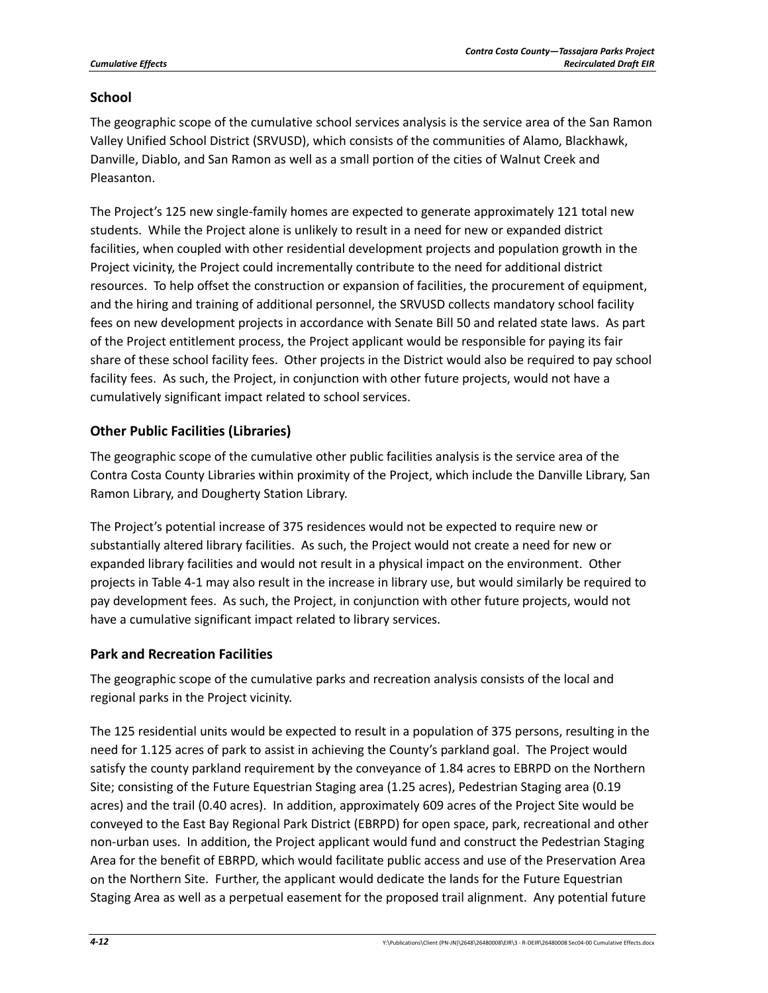#### **School**

The geographic scope of the cumulative school services analysis is the service area of the San Ramon Valley Unified School District (SRVUSD), which consists of the communities of Alamo, Blackhawk, Danville, Diablo, and San Ramon as well as a small portion of the cities of Walnut Creek and Pleasanton.

The Project's 125 new single‐family homes are expected to generate approximately 121 total new students. While the Project alone is unlikely to result in a need for new or expanded district facilities, when coupled with other residential development projects and population growth in the Project vicinity, the Project could incrementally contribute to the need for additional district resources. To help offset the construction or expansion of facilities, the procurement of equipment, and the hiring and training of additional personnel, the SRVUSD collects mandatory school facility fees on new development projects in accordance with Senate Bill 50 and related state laws. As part of the Project entitlement process, the Project applicant would be responsible for paying its fair share of these school facility fees. Other projects in the District would also be required to pay school facility fees. As such, the Project, in conjunction with other future projects, would not have a cumulatively significant impact related to school services.

### **Other Public Facilities (Libraries)**

The geographic scope of the cumulative other public facilities analysis is the service area of the Contra Costa County Libraries within proximity of the Project, which include the Danville Library, San Ramon Library, and Dougherty Station Library.

The Project's potential increase of 375 residences would not be expected to require new or substantially altered library facilities. As such, the Project would not create a need for new or expanded library facilities and would not result in a physical impact on the environment. Other projects in Table 4‐1 may also result in the increase in library use, but would similarly be required to pay development fees. As such, the Project, in conjunction with other future projects, would not have a cumulative significant impact related to library services.

### **Park and Recreation Facilities**

The geographic scope of the cumulative parks and recreation analysis consists of the local and regional parks in the Project vicinity.

The 125 residential units would be expected to result in a population of 375 persons, resulting in the need for 1.125 acres of park to assist in achieving the County's parkland goal. The Project would satisfy the county parkland requirement by the conveyance of 1.84 acres to EBRPD on the Northern Site; consisting of the Future Equestrian Staging area (1.25 acres), Pedestrian Staging area (0.19 acres) and the trail (0.40 acres). In addition, approximately 609 acres of the Project Site would be conveyed to the East Bay Regional Park District (EBRPD) for open space, park, recreational and other non-urban uses. In addition, the Project applicant would fund and construct the Pedestrian Staging Area for the benefit of EBRPD, which would facilitate public access and use of the Preservation Area on the Northern Site. Further, the applicant would dedicate the lands for the Future Equestrian Staging Area as well as a perpetual easement for the proposed trail alignment. Any potential future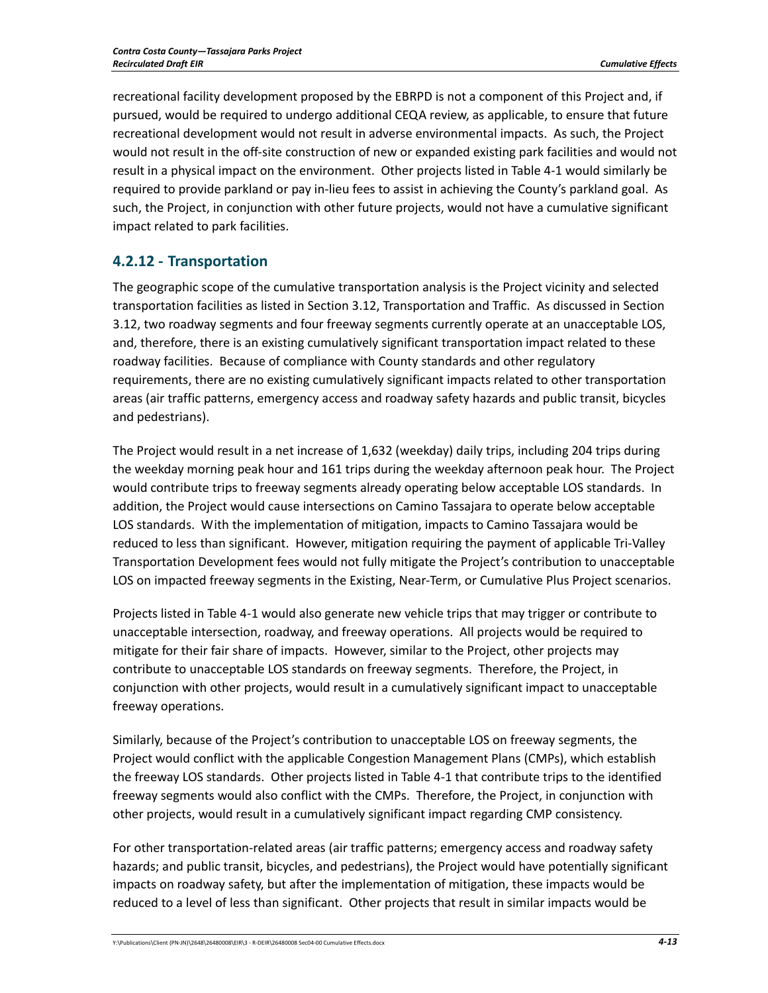recreational facility development proposed by the EBRPD is not a component of this Project and, if pursued, would be required to undergo additional CEQA review, as applicable, to ensure that future recreational development would not result in adverse environmental impacts. As such, the Project would not result in the off‐site construction of new or expanded existing park facilities and would not result in a physical impact on the environment. Other projects listed in Table 4‐1 would similarly be required to provide parkland or pay in‐lieu fees to assist in achieving the County's parkland goal. As such, the Project, in conjunction with other future projects, would not have a cumulative significant impact related to park facilities.

## **4.2.12 ‐ Transportation**

The geographic scope of the cumulative transportation analysis is the Project vicinity and selected transportation facilities as listed in Section 3.12, Transportation and Traffic. As discussed in Section 3.12, two roadway segments and four freeway segments currently operate at an unacceptable LOS, and, therefore, there is an existing cumulatively significant transportation impact related to these roadway facilities. Because of compliance with County standards and other regulatory requirements, there are no existing cumulatively significant impacts related to other transportation areas (air traffic patterns, emergency access and roadway safety hazards and public transit, bicycles and pedestrians).

The Project would result in a net increase of 1,632 (weekday) daily trips, including 204 trips during the weekday morning peak hour and 161 trips during the weekday afternoon peak hour. The Project would contribute trips to freeway segments already operating below acceptable LOS standards. In addition, the Project would cause intersections on Camino Tassajara to operate below acceptable LOS standards. With the implementation of mitigation, impacts to Camino Tassajara would be reduced to less than significant. However, mitigation requiring the payment of applicable Tri‐Valley Transportation Development fees would not fully mitigate the Project's contribution to unacceptable LOS on impacted freeway segments in the Existing, Near-Term, or Cumulative Plus Project scenarios.

Projects listed in Table 4‐1 would also generate new vehicle trips that may trigger or contribute to unacceptable intersection, roadway, and freeway operations. All projects would be required to mitigate for their fair share of impacts. However, similar to the Project, other projects may contribute to unacceptable LOS standards on freeway segments. Therefore, the Project, in conjunction with other projects, would result in a cumulatively significant impact to unacceptable freeway operations.

Similarly, because of the Project's contribution to unacceptable LOS on freeway segments, the Project would conflict with the applicable Congestion Management Plans (CMPs), which establish the freeway LOS standards. Other projects listed in Table 4‐1 that contribute trips to the identified freeway segments would also conflict with the CMPs. Therefore, the Project, in conjunction with other projects, would result in a cumulatively significant impact regarding CMP consistency.

For other transportation‐related areas (air traffic patterns; emergency access and roadway safety hazards; and public transit, bicycles, and pedestrians), the Project would have potentially significant impacts on roadway safety, but after the implementation of mitigation, these impacts would be reduced to a level of less than significant. Other projects that result in similar impacts would be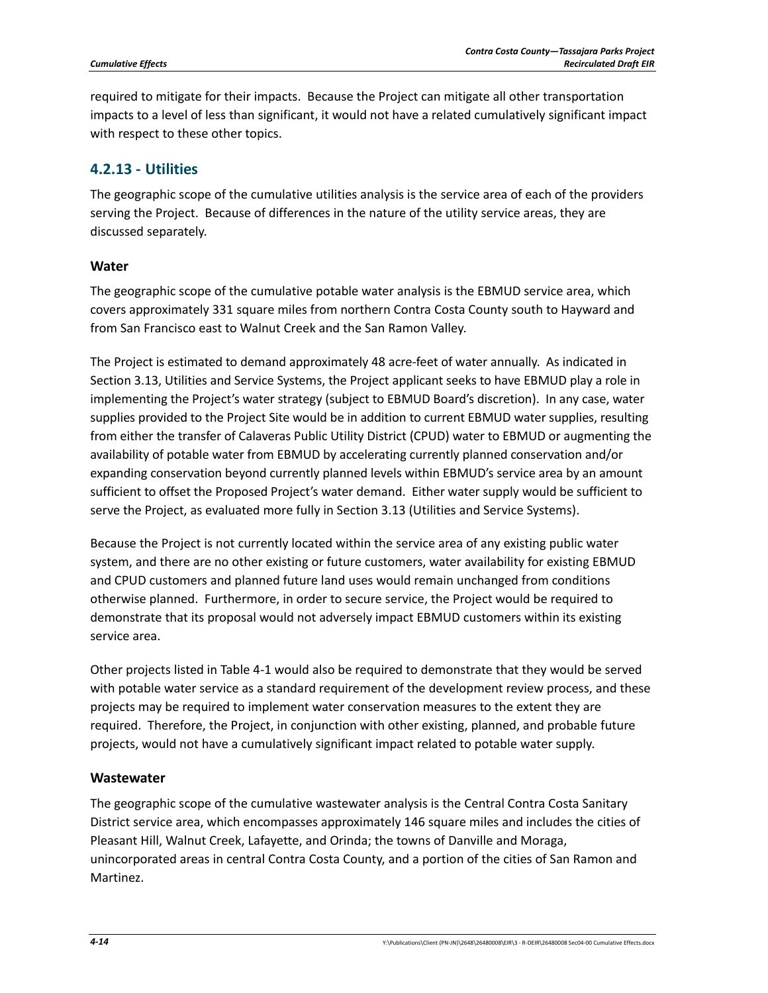required to mitigate for their impacts. Because the Project can mitigate all other transportation impacts to a level of less than significant, it would not have a related cumulatively significant impact with respect to these other topics.

## **4.2.13 ‐ Utilities**

The geographic scope of the cumulative utilities analysis is the service area of each of the providers serving the Project. Because of differences in the nature of the utility service areas, they are discussed separately.

### **Water**

The geographic scope of the cumulative potable water analysis is the EBMUD service area, which covers approximately 331 square miles from northern Contra Costa County south to Hayward and from San Francisco east to Walnut Creek and the San Ramon Valley.

The Project is estimated to demand approximately 48 acre-feet of water annually. As indicated in Section 3.13, Utilities and Service Systems, the Project applicant seeks to have EBMUD play a role in implementing the Project's water strategy (subject to EBMUD Board's discretion). In any case, water supplies provided to the Project Site would be in addition to current EBMUD water supplies, resulting from either the transfer of Calaveras Public Utility District (CPUD) water to EBMUD or augmenting the availability of potable water from EBMUD by accelerating currently planned conservation and/or expanding conservation beyond currently planned levels within EBMUD's service area by an amount sufficient to offset the Proposed Project's water demand. Either water supply would be sufficient to serve the Project, as evaluated more fully in Section 3.13 (Utilities and Service Systems).

Because the Project is not currently located within the service area of any existing public water system, and there are no other existing or future customers, water availability for existing EBMUD and CPUD customers and planned future land uses would remain unchanged from conditions otherwise planned. Furthermore, in order to secure service, the Project would be required to demonstrate that its proposal would not adversely impact EBMUD customers within its existing service area.

Other projects listed in Table 4‐1 would also be required to demonstrate that they would be served with potable water service as a standard requirement of the development review process, and these projects may be required to implement water conservation measures to the extent they are required. Therefore, the Project, in conjunction with other existing, planned, and probable future projects, would not have a cumulatively significant impact related to potable water supply.

### **Wastewater**

The geographic scope of the cumulative wastewater analysis is the Central Contra Costa Sanitary District service area, which encompasses approximately 146 square miles and includes the cities of Pleasant Hill, Walnut Creek, Lafayette, and Orinda; the towns of Danville and Moraga, unincorporated areas in central Contra Costa County, and a portion of the cities of San Ramon and Martinez.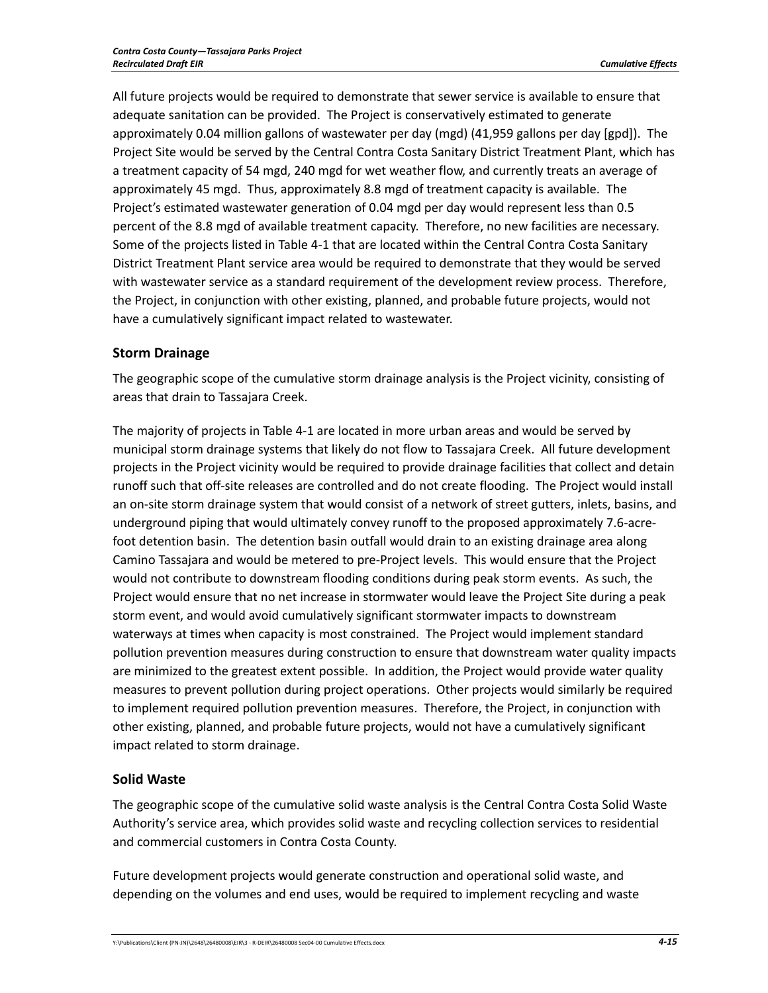All future projects would be required to demonstrate that sewer service is available to ensure that adequate sanitation can be provided. The Project is conservatively estimated to generate approximately 0.04 million gallons of wastewater per day (mgd) (41,959 gallons per day [gpd]). The Project Site would be served by the Central Contra Costa Sanitary District Treatment Plant, which has a treatment capacity of 54 mgd, 240 mgd for wet weather flow, and currently treats an average of approximately 45 mgd. Thus, approximately 8.8 mgd of treatment capacity is available. The Project's estimated wastewater generation of 0.04 mgd per day would represent less than 0.5 percent of the 8.8 mgd of available treatment capacity. Therefore, no new facilities are necessary. Some of the projects listed in Table 4‐1 that are located within the Central Contra Costa Sanitary District Treatment Plant service area would be required to demonstrate that they would be served with wastewater service as a standard requirement of the development review process. Therefore, the Project, in conjunction with other existing, planned, and probable future projects, would not have a cumulatively significant impact related to wastewater.

#### **Storm Drainage**

The geographic scope of the cumulative storm drainage analysis is the Project vicinity, consisting of areas that drain to Tassajara Creek.

The majority of projects in Table 4‐1 are located in more urban areas and would be served by municipal storm drainage systems that likely do not flow to Tassajara Creek. All future development projects in the Project vicinity would be required to provide drainage facilities that collect and detain runoff such that off‐site releases are controlled and do not create flooding. The Project would install an on‐site storm drainage system that would consist of a network of street gutters, inlets, basins, and underground piping that would ultimately convey runoff to the proposed approximately 7.6‐acre‐ foot detention basin. The detention basin outfall would drain to an existing drainage area along Camino Tassajara and would be metered to pre‐Project levels. This would ensure that the Project would not contribute to downstream flooding conditions during peak storm events. As such, the Project would ensure that no net increase in stormwater would leave the Project Site during a peak storm event, and would avoid cumulatively significant stormwater impacts to downstream waterways at times when capacity is most constrained. The Project would implement standard pollution prevention measures during construction to ensure that downstream water quality impacts are minimized to the greatest extent possible. In addition, the Project would provide water quality measures to prevent pollution during project operations. Other projects would similarly be required to implement required pollution prevention measures. Therefore, the Project, in conjunction with other existing, planned, and probable future projects, would not have a cumulatively significant impact related to storm drainage.

### **Solid Waste**

The geographic scope of the cumulative solid waste analysis is the Central Contra Costa Solid Waste Authority's service area, which provides solid waste and recycling collection services to residential and commercial customers in Contra Costa County.

Future development projects would generate construction and operational solid waste, and depending on the volumes and end uses, would be required to implement recycling and waste